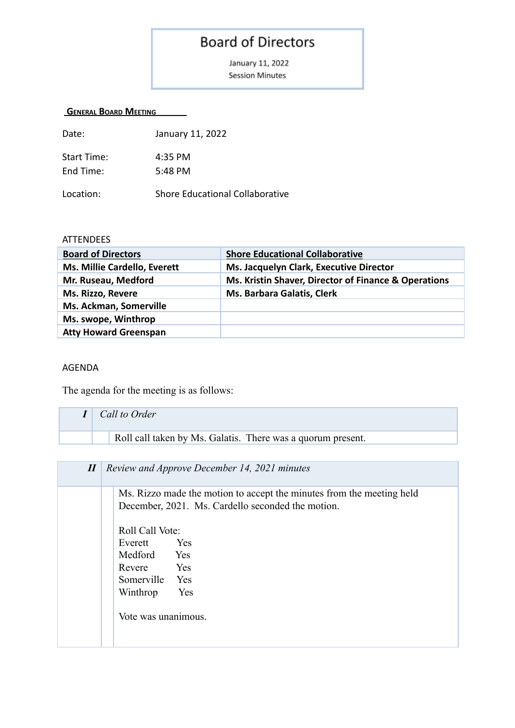## **Board of Directors**

January 11, 2022 **Session Minutes** 

## **GENERAL BOARD MEETING**

| Date:              | January 11, 2022                       |
|--------------------|----------------------------------------|
| <b>Start Time:</b> | 4:35 PM                                |
| End Time:          | 5:48 PM                                |
| Location:          | <b>Shore Educational Collaborative</b> |

## **ATTENDEES**

| <b>Board of Directors</b>    | <b>Shore Educational Collaborative</b>               |
|------------------------------|------------------------------------------------------|
| Ms. Millie Cardello, Everett | Ms. Jacquelyn Clark, Executive Director              |
| Mr. Ruseau, Medford          | Ms. Kristin Shaver, Director of Finance & Operations |
| Ms. Rizzo, Revere            | Ms. Barbara Galatis, Clerk                           |
| Ms. Ackman, Somerville       |                                                      |
| Ms. swope, Winthrop          |                                                      |
| <b>Atty Howard Greenspan</b> |                                                      |

## AGENDA

The agenda for the meeting is as follows:

| Call to Order                                               |
|-------------------------------------------------------------|
| Roll call taken by Ms. Galatis. There was a quorum present. |
|                                                             |

| $I\!I$ | Review and Approve December 14, 2021 minutes                                                                               |
|--------|----------------------------------------------------------------------------------------------------------------------------|
|        | Ms. Rizzo made the motion to accept the minutes from the meeting held<br>December, 2021. Ms. Cardello seconded the motion. |
|        | Roll Call Vote:<br>Yes<br>Everett<br>Medford Yes<br>Revere Yes<br>Somerville Yes<br>Winthrop<br>Yes<br>Vote was unanimous. |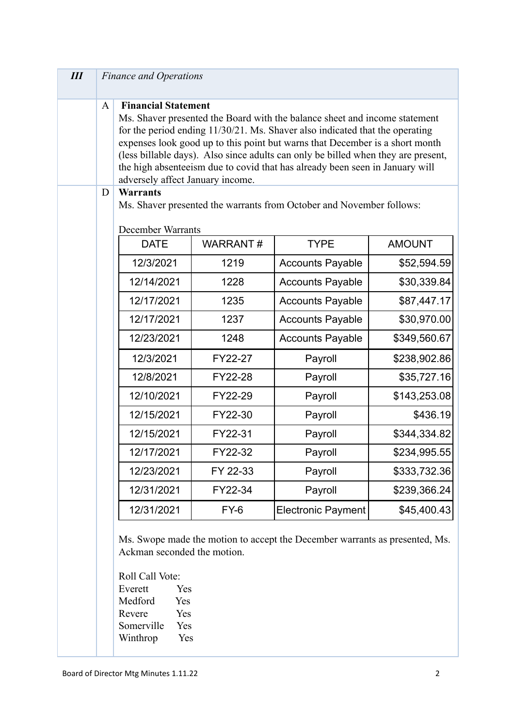| $I\!I\!I$ |              | <b>Finance and Operations</b>                                                                                                               |                 |                                                                                                                                                                                                                                                                                                                                                                                                                 |               |
|-----------|--------------|---------------------------------------------------------------------------------------------------------------------------------------------|-----------------|-----------------------------------------------------------------------------------------------------------------------------------------------------------------------------------------------------------------------------------------------------------------------------------------------------------------------------------------------------------------------------------------------------------------|---------------|
|           | $\mathbf{A}$ | <b>Financial Statement</b><br>adversely affect January income.                                                                              |                 | Ms. Shaver presented the Board with the balance sheet and income statement<br>for the period ending 11/30/21. Ms. Shaver also indicated that the operating<br>expenses look good up to this point but warns that December is a short month<br>(less billable days). Also since adults can only be billed when they are present,<br>the high absenteeism due to covid that has already been seen in January will |               |
|           | D            | <b>Warrants</b>                                                                                                                             |                 |                                                                                                                                                                                                                                                                                                                                                                                                                 |               |
|           |              | <b>December Warrants</b>                                                                                                                    |                 | Ms. Shaver presented the warrants from October and November follows:                                                                                                                                                                                                                                                                                                                                            |               |
|           |              | <b>DATE</b>                                                                                                                                 | <b>WARRANT#</b> | <b>TYPE</b>                                                                                                                                                                                                                                                                                                                                                                                                     | <b>AMOUNT</b> |
|           |              | 12/3/2021                                                                                                                                   | 1219            | <b>Accounts Payable</b>                                                                                                                                                                                                                                                                                                                                                                                         | \$52,594.59   |
|           |              | 12/14/2021                                                                                                                                  | 1228            | <b>Accounts Payable</b>                                                                                                                                                                                                                                                                                                                                                                                         | \$30,339.84   |
|           |              | 12/17/2021                                                                                                                                  | 1235            | <b>Accounts Payable</b>                                                                                                                                                                                                                                                                                                                                                                                         | \$87,447.17   |
|           |              | 12/17/2021                                                                                                                                  | 1237            | <b>Accounts Payable</b>                                                                                                                                                                                                                                                                                                                                                                                         | \$30,970.00   |
|           |              | 12/23/2021                                                                                                                                  | 1248            | <b>Accounts Payable</b>                                                                                                                                                                                                                                                                                                                                                                                         | \$349,560.67  |
|           |              | 12/3/2021                                                                                                                                   | FY22-27         | Payroll                                                                                                                                                                                                                                                                                                                                                                                                         | \$238,902.86  |
|           |              | 12/8/2021                                                                                                                                   | FY22-28         | Payroll                                                                                                                                                                                                                                                                                                                                                                                                         | \$35,727.16   |
|           |              | 12/10/2021                                                                                                                                  | FY22-29         | Payroll                                                                                                                                                                                                                                                                                                                                                                                                         | \$143,253.08  |
|           |              | 12/15/2021                                                                                                                                  | FY22-30         | Payroll                                                                                                                                                                                                                                                                                                                                                                                                         | \$436.19      |
|           |              | 12/15/2021                                                                                                                                  | FY22-31         | Payroll                                                                                                                                                                                                                                                                                                                                                                                                         | \$344,334.82  |
|           |              | 12/17/2021                                                                                                                                  | FY22-32         | Payroll                                                                                                                                                                                                                                                                                                                                                                                                         | \$234,995.55  |
|           |              | 12/23/2021                                                                                                                                  | FY 22-33        | Payroll                                                                                                                                                                                                                                                                                                                                                                                                         | \$333,732.36  |
|           |              | 12/31/2021                                                                                                                                  | FY22-34         | Payroll                                                                                                                                                                                                                                                                                                                                                                                                         | \$239,366.24  |
|           |              | 12/31/2021                                                                                                                                  | $FY-6$          | <b>Electronic Payment</b>                                                                                                                                                                                                                                                                                                                                                                                       | \$45,400.43   |
|           |              | Ackman seconded the motion.<br>Roll Call Vote:<br>Everett<br>Yes<br>Medford<br>Yes<br>Revere<br>Yes<br>Somerville<br>Yes<br>Winthrop<br>Yes |                 | Ms. Swope made the motion to accept the December warrants as presented, Ms.                                                                                                                                                                                                                                                                                                                                     |               |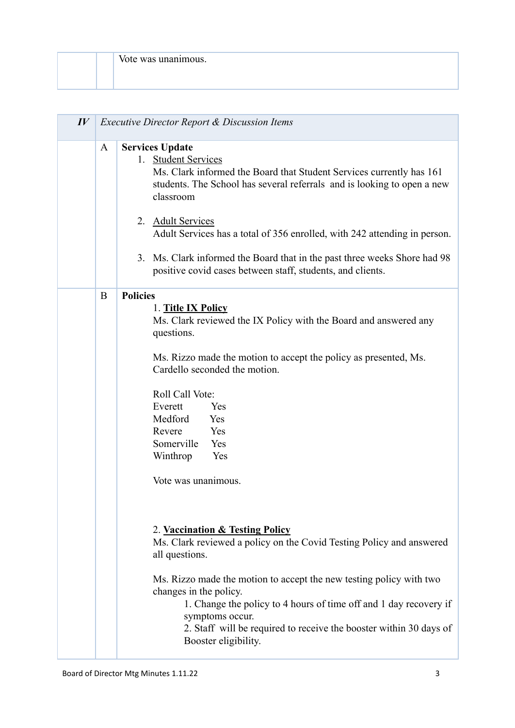| Vote was unanimous. |
|---------------------|
|                     |

| $I\hspace{-.1em}V$ | Executive Director Report & Discussion Items |                                                                                                                                                                                                                                                                                                                                                                                                                                                                                                                                                                                                                                                                                                                                                                                         |  |
|--------------------|----------------------------------------------|-----------------------------------------------------------------------------------------------------------------------------------------------------------------------------------------------------------------------------------------------------------------------------------------------------------------------------------------------------------------------------------------------------------------------------------------------------------------------------------------------------------------------------------------------------------------------------------------------------------------------------------------------------------------------------------------------------------------------------------------------------------------------------------------|--|
|                    | A                                            | <b>Services Update</b><br>1. Student Services<br>Ms. Clark informed the Board that Student Services currently has 161<br>students. The School has several referrals and is looking to open a new<br>classroom<br><b>Adult Services</b><br>2.<br>Adult Services has a total of 356 enrolled, with 242 attending in person.<br>3. Ms. Clark informed the Board that in the past three weeks Shore had 98<br>positive covid cases between staff, students, and clients.                                                                                                                                                                                                                                                                                                                    |  |
|                    | B                                            | <b>Policies</b><br>1. Title IX Policy<br>Ms. Clark reviewed the IX Policy with the Board and answered any<br>questions.<br>Ms. Rizzo made the motion to accept the policy as presented, Ms.<br>Cardello seconded the motion.<br>Roll Call Vote:<br>Everett<br>Yes<br>Medford<br>Yes<br>Revere<br>Yes<br>Somerville<br>Yes<br>Winthrop<br>Yes<br>Vote was unanimous.<br>2. Vaccination & Testing Policy<br>Ms. Clark reviewed a policy on the Covid Testing Policy and answered<br>all questions.<br>Ms. Rizzo made the motion to accept the new testing policy with two<br>changes in the policy.<br>1. Change the policy to 4 hours of time off and 1 day recovery if<br>symptoms occur.<br>2. Staff will be required to receive the booster within 30 days of<br>Booster eligibility. |  |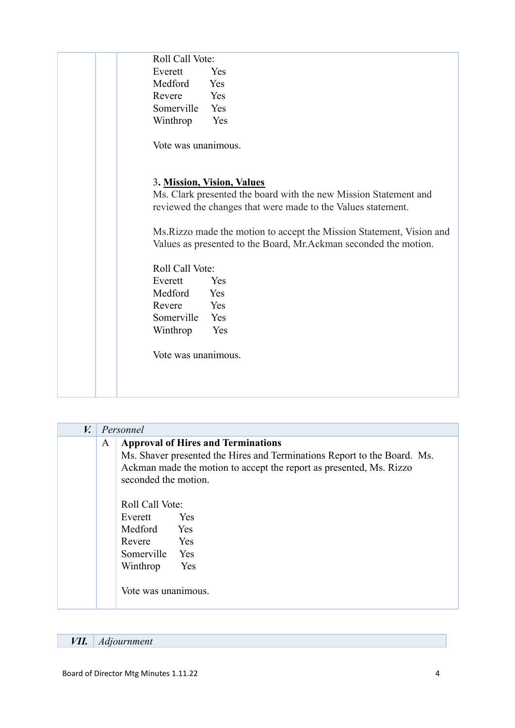| Roll Call Vote:     |                                                                       |
|---------------------|-----------------------------------------------------------------------|
| Everett             | Yes                                                                   |
| Medford             | Yes                                                                   |
| Revere              | Yes                                                                   |
| Somerville          | Yes                                                                   |
| Winthrop            | Yes                                                                   |
|                     |                                                                       |
| Vote was unanimous. |                                                                       |
|                     |                                                                       |
|                     | 3. Mission, Vision, Values                                            |
|                     | Ms. Clark presented the board with the new Mission Statement and      |
|                     | reviewed the changes that were made to the Values statement.          |
|                     |                                                                       |
|                     | Ms. Rizzo made the motion to accept the Mission Statement, Vision and |
|                     | Values as presented to the Board, Mr.Ackman seconded the motion.      |
| Roll Call Vote:     |                                                                       |
| Everett             | Yes                                                                   |
| Medford             | Yes                                                                   |
| Revere              | Yes                                                                   |
| Somerville          | Yes                                                                   |
| Winthrop            | Yes                                                                   |
|                     |                                                                       |
| Vote was unanimous. |                                                                       |
|                     |                                                                       |
|                     |                                                                       |
|                     |                                                                       |

| $V_{\bullet}$ | Personnel                                                                                                                                                                                                                 |  |  |
|---------------|---------------------------------------------------------------------------------------------------------------------------------------------------------------------------------------------------------------------------|--|--|
|               | <b>Approval of Hires and Terminations</b><br>A<br>Ms. Shaver presented the Hires and Terminations Report to the Board. Ms.<br>Ackman made the motion to accept the report as presented, Ms. Rizzo<br>seconded the motion. |  |  |
|               | Roll Call Vote:<br>Everett<br>Yes<br>Medford Yes<br>Revere Yes<br>Somerville Yes<br>Yes<br>Winthrop<br>Vote was unanimous.                                                                                                |  |  |

*VII. Adjournment*